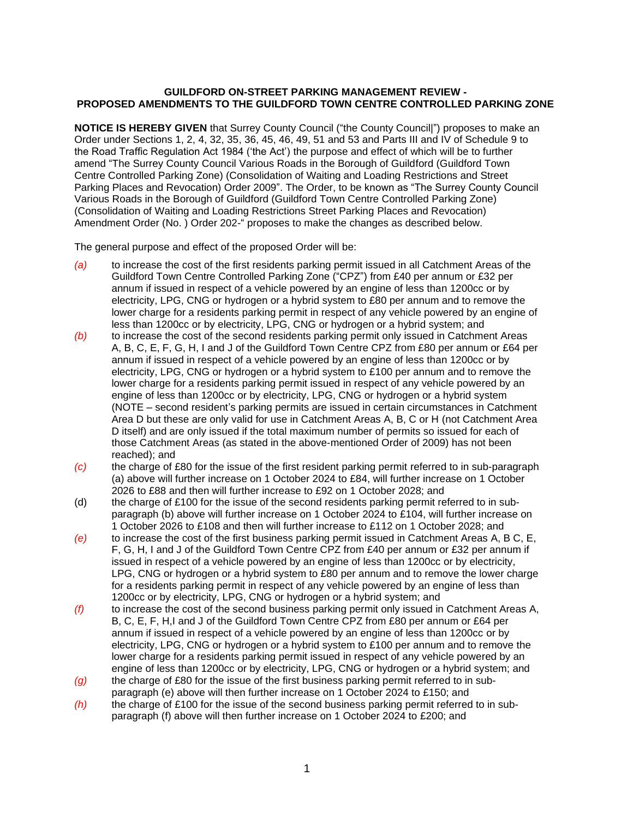## **GUILDFORD ON-STREET PARKING MANAGEMENT REVIEW - PROPOSED AMENDMENTS TO THE GUILDFORD TOWN CENTRE CONTROLLED PARKING ZONE**

**NOTICE IS HEREBY GIVEN** that Surrey County Council ("the County Councill") proposes to make an Order under Sections 1, 2, 4, 32, 35, 36, 45, 46, 49, 51 and 53 and Parts III and IV of Schedule 9 to the Road Traffic Regulation Act 1984 ('the Act') the purpose and effect of which will be to further amend "The Surrey County Council Various Roads in the Borough of Guildford (Guildford Town Centre Controlled Parking Zone) (Consolidation of Waiting and Loading Restrictions and Street Parking Places and Revocation) Order 2009". The Order, to be known as "The Surrey County Council Various Roads in the Borough of Guildford (Guildford Town Centre Controlled Parking Zone) (Consolidation of Waiting and Loading Restrictions Street Parking Places and Revocation) Amendment Order (No. ) Order 202-" proposes to make the changes as described below.

The general purpose and effect of the proposed Order will be:

- *(a)* to increase the cost of the first residents parking permit issued in all Catchment Areas of the Guildford Town Centre Controlled Parking Zone ("CPZ") from £40 per annum or £32 per annum if issued in respect of a vehicle powered by an engine of less than 1200cc or by electricity, LPG, CNG or hydrogen or a hybrid system to £80 per annum and to remove the lower charge for a residents parking permit in respect of any vehicle powered by an engine of less than 1200cc or by electricity, LPG, CNG or hydrogen or a hybrid system; and
- *(b)* to increase the cost of the second residents parking permit only issued in Catchment Areas A, B, C, E, F, G, H, I and J of the Guildford Town Centre CPZ from £80 per annum or £64 per annum if issued in respect of a vehicle powered by an engine of less than 1200cc or by electricity, LPG, CNG or hydrogen or a hybrid system to £100 per annum and to remove the lower charge for a residents parking permit issued in respect of any vehicle powered by an engine of less than 1200cc or by electricity, LPG, CNG or hydrogen or a hybrid system (NOTE – second resident's parking permits are issued in certain circumstances in Catchment Area D but these are only valid for use in Catchment Areas A, B, C or H (not Catchment Area D itself) and are only issued if the total maximum number of permits so issued for each of those Catchment Areas (as stated in the above-mentioned Order of 2009) has not been reached); and
- *(c)* the charge of £80 for the issue of the first resident parking permit referred to in sub-paragraph (a) above will further increase on 1 October 2024 to £84, will further increase on 1 October 2026 to £88 and then will further increase to £92 on 1 October 2028; and
- (d) the charge of £100 for the issue of the second residents parking permit referred to in subparagraph (b) above will further increase on 1 October 2024 to £104, will further increase on 1 October 2026 to £108 and then will further increase to £112 on 1 October 2028; and
- *(e)* to increase the cost of the first business parking permit issued in Catchment Areas A, B C, E, F, G, H, I and J of the Guildford Town Centre CPZ from £40 per annum or £32 per annum if issued in respect of a vehicle powered by an engine of less than 1200cc or by electricity, LPG, CNG or hydrogen or a hybrid system to £80 per annum and to remove the lower charge for a residents parking permit in respect of any vehicle powered by an engine of less than 1200cc or by electricity, LPG, CNG or hydrogen or a hybrid system; and
- *(f)* to increase the cost of the second business parking permit only issued in Catchment Areas A, B, C, E, F, H,I and J of the Guildford Town Centre CPZ from £80 per annum or £64 per annum if issued in respect of a vehicle powered by an engine of less than 1200cc or by electricity, LPG, CNG or hydrogen or a hybrid system to £100 per annum and to remove the lower charge for a residents parking permit issued in respect of any vehicle powered by an engine of less than 1200cc or by electricity, LPG, CNG or hydrogen or a hybrid system; and
- *(g)* the charge of £80 for the issue of the first business parking permit referred to in subparagraph (e) above will then further increase on 1 October 2024 to £150; and
- *(h)* the charge of £100 for the issue of the second business parking permit referred to in subparagraph (f) above will then further increase on 1 October 2024 to £200; and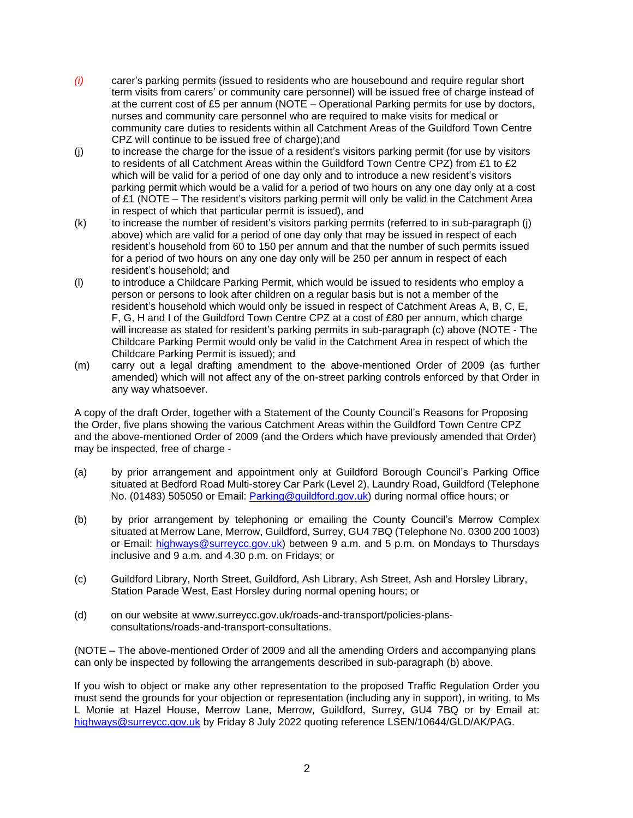- *(i)* carer's parking permits (issued to residents who are housebound and require regular short term visits from carers' or community care personnel) will be issued free of charge instead of at the current cost of £5 per annum (NOTE – Operational Parking permits for use by doctors, nurses and community care personnel who are required to make visits for medical or community care duties to residents within all Catchment Areas of the Guildford Town Centre CPZ will continue to be issued free of charge);and
- (j) to increase the charge for the issue of a resident's visitors parking permit (for use by visitors to residents of all Catchment Areas within the Guildford Town Centre CPZ) from £1 to £2 which will be valid for a period of one day only and to introduce a new resident's visitors parking permit which would be a valid for a period of two hours on any one day only at a cost of £1 (NOTE – The resident's visitors parking permit will only be valid in the Catchment Area in respect of which that particular permit is issued), and
- (k) to increase the number of resident's visitors parking permits (referred to in sub-paragraph (j) above) which are valid for a period of one day only that may be issued in respect of each resident's household from 60 to 150 per annum and that the number of such permits issued for a period of two hours on any one day only will be 250 per annum in respect of each resident's household; and
- (l) to introduce a Childcare Parking Permit, which would be issued to residents who employ a person or persons to look after children on a regular basis but is not a member of the resident's household which would only be issued in respect of Catchment Areas A, B, C, E, F, G, H and I of the Guildford Town Centre CPZ at a cost of £80 per annum, which charge will increase as stated for resident's parking permits in sub-paragraph (c) above (NOTE - The Childcare Parking Permit would only be valid in the Catchment Area in respect of which the Childcare Parking Permit is issued); and
- (m) carry out a legal drafting amendment to the above-mentioned Order of 2009 (as further amended) which will not affect any of the on-street parking controls enforced by that Order in any way whatsoever.

A copy of the draft Order, together with a Statement of the County Council's Reasons for Proposing the Order, five plans showing the various Catchment Areas within the Guildford Town Centre CPZ and the above-mentioned Order of 2009 (and the Orders which have previously amended that Order) may be inspected, free of charge -

- (a) by prior arrangement and appointment only at Guildford Borough Council's Parking Office situated at Bedford Road Multi-storey Car Park (Level 2), Laundry Road, Guildford (Telephone No. (01483) 505050 or Email: [Parking@guildford.gov.uk\)](mailto:Parking@guildford.gov.uk) during normal office hours; or
- (b) by prior arrangement by telephoning or emailing the County Council's Merrow Complex situated at Merrow Lane, Merrow, Guildford, Surrey, GU4 7BQ (Telephone No. 0300 200 1003) or Email: [highways@surreycc.gov.uk\)](mailto:highways@surreycc.gov.uk) between 9 a.m. and 5 p.m. on Mondays to Thursdays inclusive and 9 a.m. and 4.30 p.m. on Fridays; or
- (c) Guildford Library, North Street, Guildford, Ash Library, Ash Street, Ash and Horsley Library, Station Parade West, East Horsley during normal opening hours; or
- (d) on our website at www.surreycc.gov.uk/roads-and-transport/policies-plansconsultations/roads-and-transport-consultations.

(NOTE – The above-mentioned Order of 2009 and all the amending Orders and accompanying plans can only be inspected by following the arrangements described in sub-paragraph (b) above.

If you wish to object or make any other representation to the proposed Traffic Regulation Order you must send the grounds for your objection or representation (including any in support), in writing, to Ms L Monie at Hazel House, Merrow Lane, Merrow, Guildford, Surrey, GU4 7BQ or by Email at: [highways@surreycc.gov.uk](mailto:highways@surreycc.gov.uk) by Friday 8 July 2022 quoting reference LSEN/10644/GLD/AK/PAG.